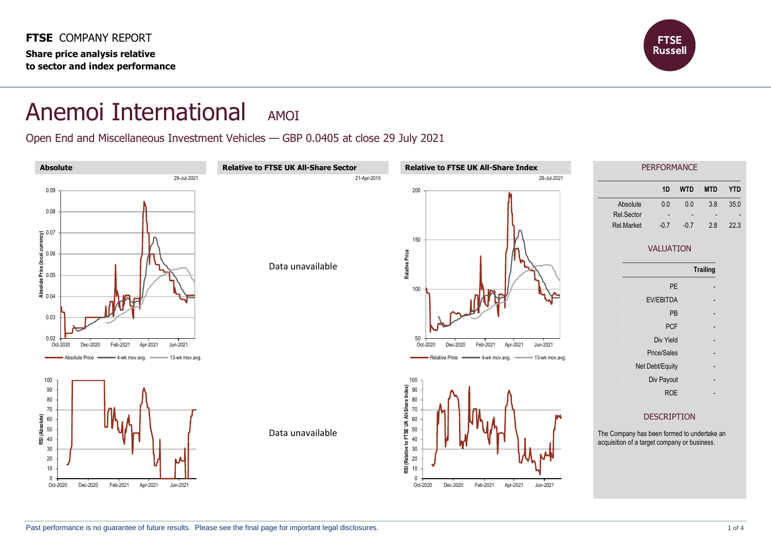

## Anemoi International AMOI

Open End and Miscellaneous Investment Vehicles — GBP 0.0405 at close 29 July 2021

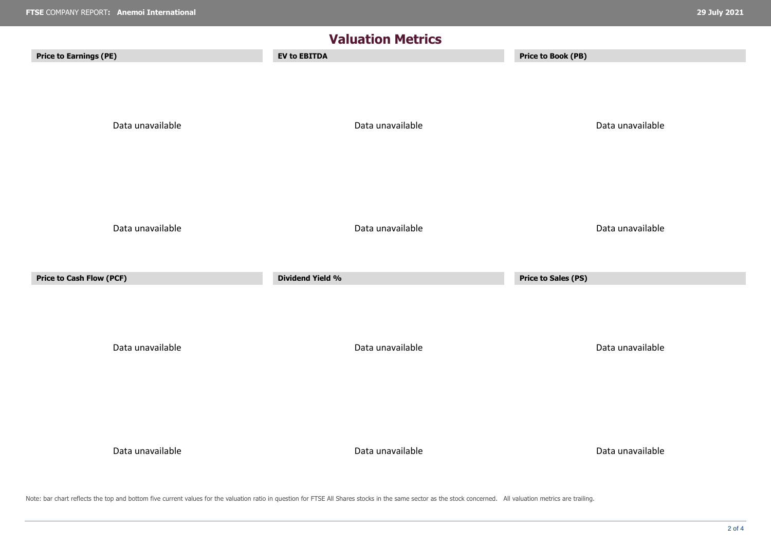| <b>Valuation Metrics</b>                            |                                             |                                                |  |  |  |
|-----------------------------------------------------|---------------------------------------------|------------------------------------------------|--|--|--|
| <b>Price to Earnings (PE)</b>                       | <b>EV to EBITDA</b>                         | <b>Price to Book (PB)</b>                      |  |  |  |
| Data unavailable                                    | Data unavailable                            | Data unavailable                               |  |  |  |
| Data unavailable<br><b>Price to Cash Flow (PCF)</b> | Data unavailable<br><b>Dividend Yield %</b> | Data unavailable<br><b>Price to Sales (PS)</b> |  |  |  |
|                                                     |                                             |                                                |  |  |  |
| Data unavailable                                    | Data unavailable                            | Data unavailable                               |  |  |  |
| Data unavailable                                    | Data unavailable                            | Data unavailable                               |  |  |  |

Note: bar chart reflects the top and bottom five current values for the valuation ratio in question for FTSE All Shares stocks in the same sector as the stock concerned. All valuation metrics are trailing.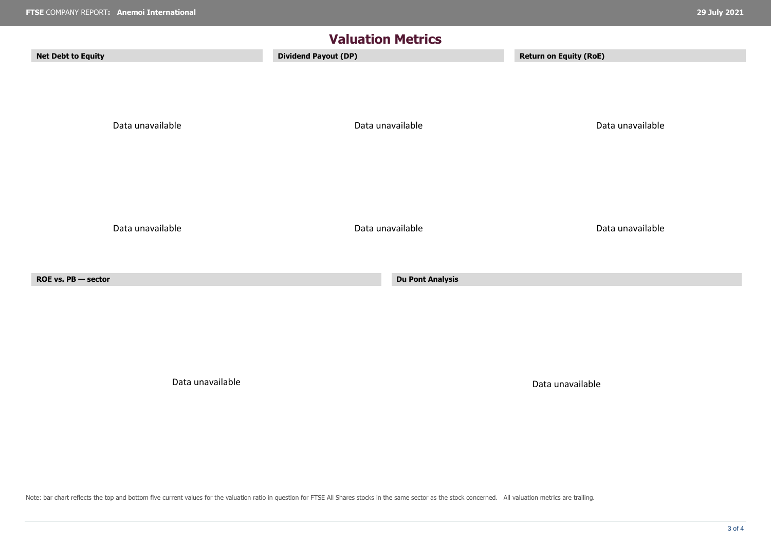| <b>Valuation Metrics</b>  |                             |                               |  |  |  |  |  |
|---------------------------|-----------------------------|-------------------------------|--|--|--|--|--|
| <b>Net Debt to Equity</b> | <b>Dividend Payout (DP)</b> | <b>Return on Equity (RoE)</b> |  |  |  |  |  |
| Data unavailable          | Data unavailable            | Data unavailable              |  |  |  |  |  |
| Data unavailable          | Data unavailable            | Data unavailable              |  |  |  |  |  |
| ROE vs. PB - sector       | <b>Du Pont Analysis</b>     |                               |  |  |  |  |  |
|                           |                             |                               |  |  |  |  |  |
|                           |                             |                               |  |  |  |  |  |
|                           |                             |                               |  |  |  |  |  |

Data unavailable Data unavailable

Note: bar chart reflects the top and bottom five current values for the valuation ratio in question for FTSE All Shares stocks in the same sector as the stock concerned. All valuation metrics are trailing.